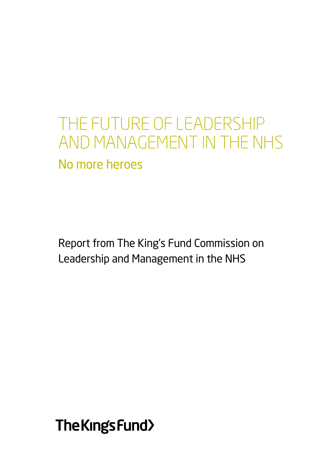# the future of leadership and management in the nhs No more heroes

Report from The King's Fund Commission on Leadership and Management in the NHS

The Kings Fund>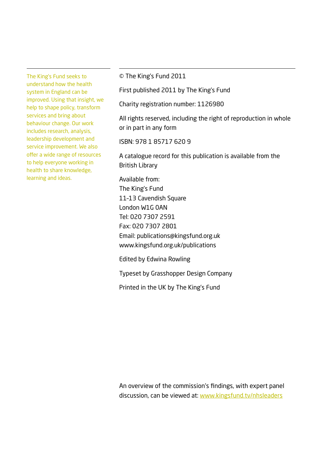The King's Fund seeks to understand how the health system in England can be improved. Using that insight, we help to shape policy, transform services and bring about behaviour change. Our work includes research, analysis, leadership development and service improvement. We also offer a wide range of resources to help everyone working in health to share knowledge, learning and ideas.

© The King's Fund 2011

First published 2011 by The King's Fund

Charity registration number: 1126980

All rights reserved, including the right of reproduction in whole or in part in any form

ISBN: 978 1 85717 620 9

A catalogue record for this publication is available from the British Library

Available from: The King's Fund 11–13 Cavendish Square London W1G 0AN Tel: 020 7307 2591 Fax: 020 7307 2801 Email: publications@kingsfund.org.uk www.kingsfund.org.uk/publications

Edited by Edwina Rowling

Typeset by Grasshopper Design Company

Printed in the UK by The King's Fund

An overview of the commission's findings, with expert panel discussion, can be viewed at: www.kingsfund.tv/nhsleaders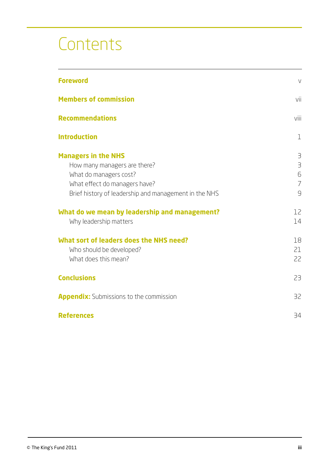# **Contents**

| <b>Foreword</b>                                                                                                                                                                | $\vee$                                                   |
|--------------------------------------------------------------------------------------------------------------------------------------------------------------------------------|----------------------------------------------------------|
| <b>Members of commission</b>                                                                                                                                                   | vii                                                      |
| <b>Recommendations</b>                                                                                                                                                         | viii                                                     |
| <b>Introduction</b>                                                                                                                                                            | 1                                                        |
| <b>Managers in the NHS</b><br>How many managers are there?<br>What do managers cost?<br>What effect do managers have?<br>Brief history of leadership and management in the NHS | 3<br>$\overline{\mathbf{B}}$<br>6<br>$\overline{7}$<br>9 |
| What do we mean by leadership and management?<br>Why leadership matters                                                                                                        | 12<br>14                                                 |
| What sort of leaders does the NHS need?<br>Who should be developed?<br>What does this mean?                                                                                    | 18<br>21<br>22                                           |
| <b>Conclusions</b>                                                                                                                                                             | 23                                                       |
| <b>Appendix:</b> Submissions to the commission                                                                                                                                 | 32                                                       |
| <b>References</b>                                                                                                                                                              | 34                                                       |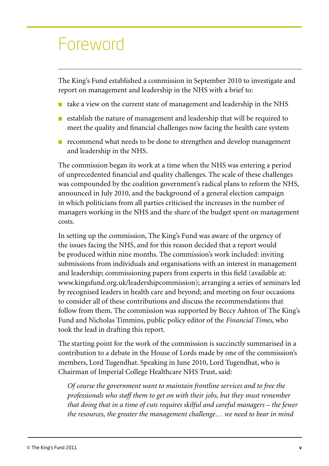## Foreword

The King's Fund established a commission in September 2010 to investigate and report on management and leadership in the NHS with a brief to:

- $\blacksquare$  take a view on the current state of management and leadership in the NHS
- establish the nature of management and leadership that will be required to meet the quality and financial challenges now facing the health care system
- recommend what needs to be done to strengthen and develop management and leadership in the NHS.

The commission began its work at a time when the NHS was entering a period of unprecedented financial and quality challenges. The scale of these challenges was compounded by the coalition government's radical plans to reform the NHS, announced in July 2010, and the background of a general election campaign in which politicians from all parties criticised the increases in the number of managers working in the NHS and the share of the budget spent on management costs.

In setting up the commission, The King's Fund was aware of the urgency of the issues facing the NHS, and for this reason decided that a report would be produced within nine months. The commission's work included: inviting submissions from individuals and organisations with an interest in management and leadership; commissioning papers from experts in this field (available at: www.kingsfund.org.uk/leadershipcommission); arranging a series of seminars led by recognised leaders in health care and beyond; and meeting on four occasions to consider all of these contributions and discuss the recommendations that follow from them. The commission was supported by Beccy Ashton of The King's Fund and Nicholas Timmins, public policy editor of the *Financial Times*, who took the lead in drafting this report.

The starting point for the work of the commission is succinctly summarised in a contribution to a debate in the House of Lords made by one of the commission's members, Lord Tugendhat. Speaking in June 2010, Lord Tugendhat, who is Chairman of Imperial College Healthcare NHS Trust, said:

*Of course the government want to maintain frontline services and to free the professionals who staff them to get on with their jobs, but they must remember that doing that in a time of cuts requires skilful and careful managers – the fewer the resources, the greater the management challenge… we need to bear in mind*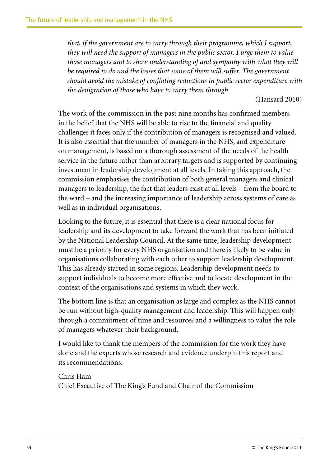*that, if the government are to carry through their programme, which I support, they will need the support of managers in the public sector. I urge them to value those managers and to show understanding of and sympathy with what they will be required to do and the losses that some of them will suffer. The government should avoid the mistake of conflating reductions in public sector expenditure with the denigration of those who have to carry them through.*

(Hansard 2010)

The work of the commission in the past nine months has confirmed members in the belief that the NHS will be able to rise to the financial and quality challenges it faces only if the contribution of managers is recognised and valued. It is also essential that the number of managers in the NHS, and expenditure on management, is based on a thorough assessment of the needs of the health service in the future rather than arbitrary targets and is supported by continuing investment in leadership development at all levels. In taking this approach, the commission emphasises the contribution of both general managers and clinical managers to leadership, the fact that leaders exist at all levels – from the board to the ward – and the increasing importance of leadership across systems of care as well as in individual organisations.

Looking to the future, it is essential that there is a clear national focus for leadership and its development to take forward the work that has been initiated by the National Leadership Council. At the same time, leadership development must be a priority for every NHS organisation and there is likely to be value in organisations collaborating with each other to support leadership development. This has already started in some regions. Leadership development needs to support individuals to become more effective and to locate development in the context of the organisations and systems in which they work.

The bottom line is that an organisation as large and complex as the NHS cannot be run without high-quality management and leadership. This will happen only through a commitment of time and resources and a willingness to value the role of managers whatever their background.

I would like to thank the members of the commission for the work they have done and the experts whose research and evidence underpin this report and its recommendations.

Chris Ham Chief Executive of The King's Fund and Chair of the Commission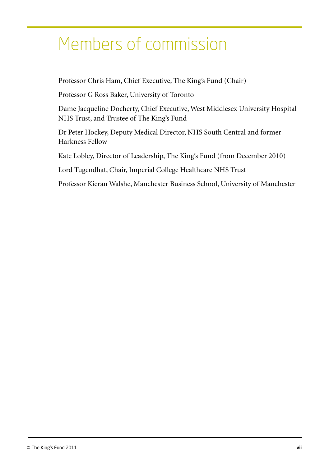# Members of commission

Professor Chris Ham, Chief Executive, The King's Fund (Chair)

Professor G Ross Baker, University of Toronto

Dame Jacqueline Docherty, Chief Executive, West Middlesex University Hospital NHS Trust, and Trustee of The King's Fund

Dr Peter Hockey, Deputy Medical Director, NHS South Central and former Harkness Fellow

Kate Lobley, Director of Leadership, The King's Fund (from December 2010)

Lord Tugendhat, Chair, Imperial College Healthcare NHS Trust

Professor Kieran Walshe, Manchester Business School, University of Manchester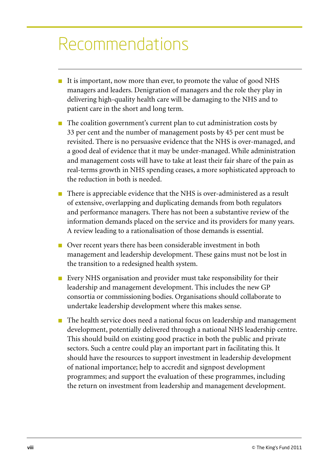# Recommendations

- It is important, now more than ever, to promote the value of good NHS managers and leaders. Denigration of managers and the role they play in delivering high-quality health care will be damaging to the NHS and to patient care in the short and long term.
- The coalition government's current plan to cut administration costs by 33 per cent and the number of management posts by 45 per cent must be revisited. There is no persuasive evidence that the NHS is over-managed, and a good deal of evidence that it may be under-managed. While administration and management costs will have to take at least their fair share of the pain as real-terms growth in NHS spending ceases, a more sophisticated approach to the reduction in both is needed.
- There is appreciable evidence that the NHS is over-administered as a result of extensive, overlapping and duplicating demands from both regulators and performance managers. There has not been a substantive review of the information demands placed on the service and its providers for many years. A review leading to a rationalisation of those demands is essential.
- Over recent years there has been considerable investment in both management and leadership development. These gains must not be lost in the transition to a redesigned health system.
- Every NHS organisation and provider must take responsibility for their leadership and management development. This includes the new GP consortia or commissioning bodies. Organisations should collaborate to undertake leadership development where this makes sense.
- The health service does need a national focus on leadership and management development, potentially delivered through a national NHS leadership centre. This should build on existing good practice in both the public and private sectors. Such a centre could play an important part in facilitating this. It should have the resources to support investment in leadership development of national importance; help to accredit and signpost development programmes; and support the evaluation of these programmes, including the return on investment from leadership and management development.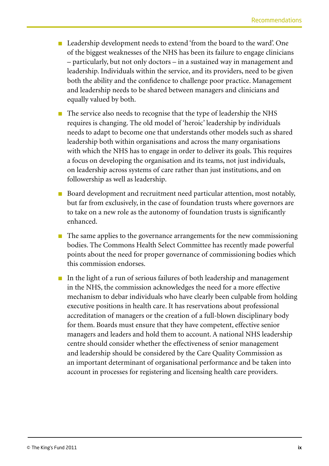- Leadership development needs to extend 'from the board to the ward'. One of the biggest weaknesses of the NHS has been its failure to engage clinicians – particularly, but not only doctors – in a sustained way in management and leadership. Individuals within the service, and its providers, need to be given both the ability and the confidence to challenge poor practice. Management and leadership needs to be shared between managers and clinicians and equally valued by both.
- The service also needs to recognise that the type of leadership the NHS requires is changing. The old model of 'heroic' leadership by individuals needs to adapt to become one that understands other models such as shared leadership both within organisations and across the many organisations with which the NHS has to engage in order to deliver its goals. This requires a focus on developing the organisation and its teams, not just individuals, on leadership across systems of care rather than just institutions, and on followership as well as leadership.
- Board development and recruitment need particular attention, most notably, but far from exclusively, in the case of foundation trusts where governors are to take on a new role as the autonomy of foundation trusts is significantly enhanced.
- The same applies to the governance arrangements for the new commissioning bodies. The Commons Health Select Committee has recently made powerful points about the need for proper governance of commissioning bodies which this commission endorses.
- In the light of a run of serious failures of both leadership and management in the NHS, the commission acknowledges the need for a more effective mechanism to debar individuals who have clearly been culpable from holding executive positions in health care. It has reservations about professional accreditation of managers or the creation of a full-blown disciplinary body for them. Boards must ensure that they have competent, effective senior managers and leaders and hold them to account. A national NHS leadership centre should consider whether the effectiveness of senior management and leadership should be considered by the Care Quality Commission as an important determinant of organisational performance and be taken into account in processes for registering and licensing health care providers.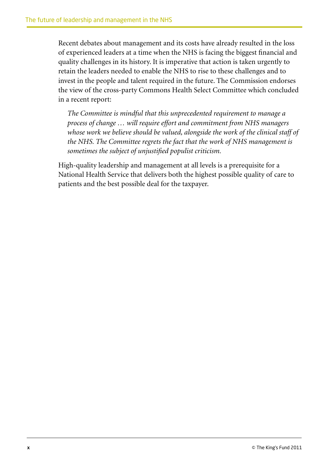Recent debates about management and its costs have already resulted in the loss of experienced leaders at a time when the NHS is facing the biggest financial and quality challenges in its history. It is imperative that action is taken urgently to retain the leaders needed to enable the NHS to rise to these challenges and to invest in the people and talent required in the future. The Commission endorses the view of the cross-party Commons Health Select Committee which concluded in a recent report:

*The Committee is mindful that this unprecedented requirement to manage a process of change … will require effort and commitment from NHS managers*  whose work we believe should be valued, alongside the work of the clinical staff of *the NHS. The Committee regrets the fact that the work of NHS management is sometimes the subject of unjustified populist criticism.*

High-quality leadership and management at all levels is a prerequisite for a National Health Service that delivers both the highest possible quality of care to patients and the best possible deal for the taxpayer.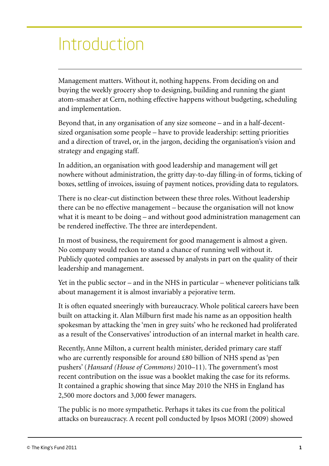# Introduction

Management matters. Without it, nothing happens. From deciding on and buying the weekly grocery shop to designing, building and running the giant atom-smasher at Cern, nothing effective happens without budgeting, scheduling and implementation.

Beyond that, in any organisation of any size someone – and in a half-decentsized organisation some people – have to provide leadership: setting priorities and a direction of travel, or, in the jargon, deciding the organisation's vision and strategy and engaging staff.

In addition, an organisation with good leadership and management will get nowhere without administration, the gritty day-to-day filling-in of forms, ticking of boxes, settling of invoices, issuing of payment notices, providing data to regulators.

There is no clear-cut distinction between these three roles. Without leadership there can be no effective management – because the organisation will not know what it is meant to be doing – and without good administration management can be rendered ineffective. The three are interdependent.

In most of business, the requirement for good management is almost a given. No company would reckon to stand a chance of running well without it. Publicly quoted companies are assessed by analysts in part on the quality of their leadership and management.

Yet in the public sector – and in the NHS in particular – whenever politicians talk about management it is almost invariably a pejorative term.

It is often equated sneeringly with bureaucracy. Whole political careers have been built on attacking it. Alan Milburn first made his name as an opposition health spokesman by attacking the 'men in grey suits' who he reckoned had proliferated as a result of the Conservatives' introduction of an internal market in health care.

Recently, Anne Milton, a current health minister, derided primary care staff who are currently responsible for around £80 billion of NHS spend as 'pen pushers' (*Hansard (House of Commons)* 2010–11). The government's most recent contribution on the issue was a booklet making the case for its reforms. It contained a graphic showing that since May 2010 the NHS in England has 2,500 more doctors and 3,000 fewer managers.

The public is no more sympathetic. Perhaps it takes its cue from the political attacks on bureaucracy. A recent poll conducted by Ipsos MORI (2009) showed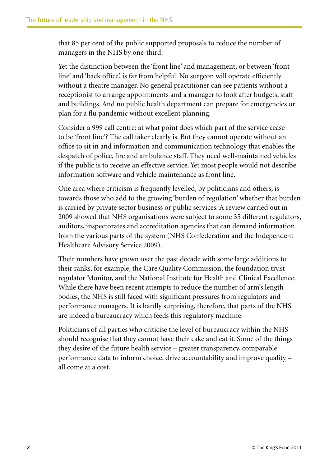that 85 per cent of the public supported proposals to reduce the number of managers in the NHS by one-third.

Yet the distinction between the 'front line' and management, or between 'front line' and 'back office', is far from helpful. No surgeon will operate efficiently without a theatre manager. No general practitioner can see patients without a receptionist to arrange appointments and a manager to look after budgets, staff and buildings. And no public health department can prepare for emergencies or plan for a flu pandemic without excellent planning.

Consider a 999 call centre: at what point does which part of the service cease to be 'front line'? The call taker clearly is. But they cannot operate without an office to sit in and information and communication technology that enables the despatch of police, fire and ambulance staff. They need well-maintained vehicles if the public is to receive an effective service. Yet most people would not describe information software and vehicle maintenance as front line.

One area where criticism is frequently levelled, by politicians and others, is towards those who add to the growing 'burden of regulation' whether that burden is carried by private sector business or public services. A review carried out in 2009 showed that NHS organisations were subject to some 35 different regulators, auditors, inspectorates and accreditation agencies that can demand information from the various parts of the system (NHS Confederation and the Independent Healthcare Advisory Service 2009).

Their numbers have grown over the past decade with some large additions to their ranks, for example, the Care Quality Commission, the foundation trust regulator Monitor, and the National Institute for Health and Clinical Excellence. While there have been recent attempts to reduce the number of arm's length bodies, the NHS is still faced with significant pressures from regulators and performance managers. It is hardly surprising, therefore, that parts of the NHS are indeed a bureaucracy which feeds this regulatory machine.

Politicians of all parties who criticise the level of bureaucracy within the NHS should recognise that they cannot have their cake and eat it. Some of the things they desire of the future health service – greater transparency, comparable performance data to inform choice, drive accountability and improve quality – all come at a cost.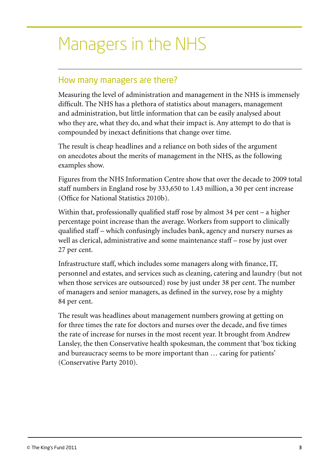# Managers in the NHS

## How many managers are there?

Measuring the level of administration and management in the NHS is immensely difficult. The NHS has a plethora of statistics about managers, management and administration, but little information that can be easily analysed about who they are, what they do, and what their impact is. Any attempt to do that is compounded by inexact definitions that change over time.

The result is cheap headlines and a reliance on both sides of the argument on anecdotes about the merits of management in the NHS, as the following examples show.

Figures from the NHS Information Centre show that over the decade to 2009 total staff numbers in England rose by 333,650 to 1.43 million, a 30 per cent increase (Office for National Statistics 2010b).

Within that, professionally qualified staff rose by almost 34 per cent – a higher percentage point increase than the average. Workers from support to clinically qualified staff – which confusingly includes bank, agency and nursery nurses as well as clerical, administrative and some maintenance staff – rose by just over 27 per cent.

Infrastructure staff, which includes some managers along with finance, IT, personnel and estates, and services such as cleaning, catering and laundry (but not when those services are outsourced) rose by just under 38 per cent. The number of managers and senior managers, as defined in the survey, rose by a mighty 84 per cent.

The result was headlines about management numbers growing at getting on for three times the rate for doctors and nurses over the decade, and five times the rate of increase for nurses in the most recent year. It brought from Andrew Lansley, the then Conservative health spokesman, the comment that 'box ticking and bureaucracy seems to be more important than … caring for patients' (Conservative Party 2010).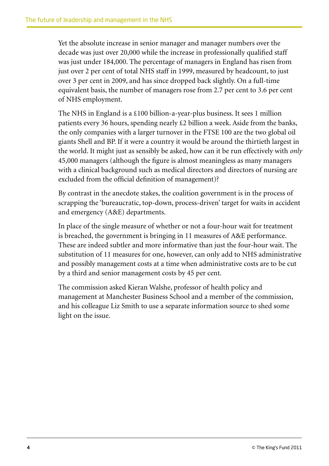Yet the absolute increase in senior manager and manager numbers over the decade was just over 20,000 while the increase in professionally qualified staff was just under 184,000. The percentage of managers in England has risen from just over 2 per cent of total NHS staff in 1999, measured by headcount, to just over 3 per cent in 2009, and has since dropped back slightly. On a full-time equivalent basis, the number of managers rose from 2.7 per cent to 3.6 per cent of NHS employment.

The NHS in England is a £100 billion-a-year-plus business. It sees 1 million patients every 36 hours, spending nearly £2 billion a week. Aside from the banks, the only companies with a larger turnover in the FTSE 100 are the two global oil giants Shell and BP. If it were a country it would be around the thirtieth largest in the world. It might just as sensibly be asked, how can it be run effectively with *only* 45,000 managers (although the figure is almost meaningless as many managers with a clinical background such as medical directors and directors of nursing are excluded from the official definition of management)?

By contrast in the anecdote stakes, the coalition government is in the process of scrapping the 'bureaucratic, top-down, process-driven' target for waits in accident and emergency (A&E) departments.

In place of the single measure of whether or not a four-hour wait for treatment is breached, the government is bringing in 11 measures of A&E performance. These are indeed subtler and more informative than just the four-hour wait. The substitution of 11 measures for one, however, can only add to NHS administrative and possibly management costs at a time when administrative costs are to be cut by a third and senior management costs by 45 per cent.

The commission asked Kieran Walshe, professor of health policy and management at Manchester Business School and a member of the commission, and his colleague Liz Smith to use a separate information source to shed some light on the issue.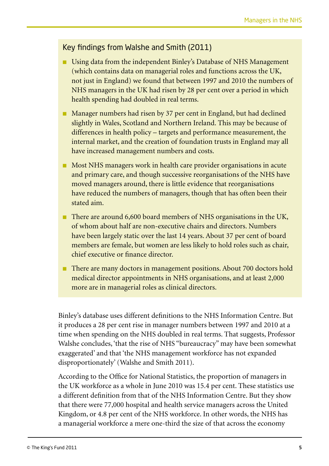### Key findings from Walshe and Smith (2011)

- Using data from the independent Binley's Database of NHS Management (which contains data on managerial roles and functions across the UK, not just in England) we found that between 1997 and 2010 the numbers of NHS managers in the UK had risen by 28 per cent over a period in which health spending had doubled in real terms.
- Manager numbers had risen by 37 per cent in England, but had declined slightly in Wales, Scotland and Northern Ireland. This may be because of differences in health policy – targets and performance measurement, the internal market, and the creation of foundation trusts in England may all have increased management numbers and costs.
- Most NHS managers work in health care provider organisations in acute and primary care, and though successive reorganisations of the NHS have moved managers around, there is little evidence that reorganisations have reduced the numbers of managers, though that has often been their stated aim.
- There are around 6,600 board members of NHS organisations in the UK, of whom about half are non-executive chairs and directors. Numbers have been largely static over the last 14 years. About 37 per cent of board members are female, but women are less likely to hold roles such as chair, chief executive or finance director.
- There are many doctors in management positions. About 700 doctors hold medical director appointments in NHS organisations, and at least 2,000 more are in managerial roles as clinical directors.

Binley's database uses different definitions to the NHS Information Centre. But it produces a 28 per cent rise in manager numbers between 1997 and 2010 at a time when spending on the NHS doubled in real terms. That suggests, Professor Walshe concludes, 'that the rise of NHS "bureaucracy" may have been somewhat exaggerated' and that 'the NHS management workforce has not expanded disproportionately' (Walshe and Smith 2011).

According to the Office for National Statistics, the proportion of managers in the UK workforce as a whole in June 2010 was 15.4 per cent. These statistics use a different definition from that of the NHS Information Centre. But they show that there were 77,000 hospital and health service managers across the United Kingdom, or 4.8 per cent of the NHS workforce. In other words, the NHS has a managerial workforce a mere one-third the size of that across the economy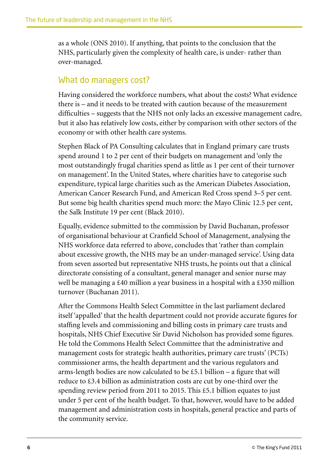as a whole (ONS 2010). If anything, that points to the conclusion that the NHS, particularly given the complexity of health care, is under- rather than over-managed.

## What do managers cost?

Having considered the workforce numbers, what about the costs? What evidence there is – and it needs to be treated with caution because of the measurement difficulties – suggests that the NHS not only lacks an excessive management cadre, but it also has relatively low costs, either by comparison with other sectors of the economy or with other health care systems.

Stephen Black of PA Consulting calculates that in England primary care trusts spend around 1 to 2 per cent of their budgets on management and 'only the most outstandingly frugal charities spend as little as 1 per cent of their turnover on management'. In the United States, where charities have to categorise such expenditure, typical large charities such as the American Diabetes Association, American Cancer Research Fund, and American Red Cross spend 3–5 per cent. But some big health charities spend much more: the Mayo Clinic 12.5 per cent, the Salk Institute 19 per cent (Black 2010).

Equally, evidence submitted to the commission by David Buchanan, professor of organisational behaviour at Cranfield School of Management, analysing the NHS workforce data referred to above, concludes that 'rather than complain about excessive growth, the NHS may be an under-managed service'. Using data from seven assorted but representative NHS trusts, he points out that a clinical directorate consisting of a consultant, general manager and senior nurse may well be managing a £40 million a year business in a hospital with a £350 million turnover (Buchanan 2011).

After the Commons Health Select Committee in the last parliament declared itself 'appalled' that the health department could not provide accurate figures for staffing levels and commissioning and billing costs in primary care trusts and hospitals, NHS Chief Executive Sir David Nicholson has provided some figures. He told the Commons Health Select Committee that the administrative and management costs for strategic health authorities, primary care trusts' (PCTs) commissioner arms, the health department and the various regulators and arms-length bodies are now calculated to be £5.1 billion – a figure that will reduce to £3.4 billion as administration costs are cut by one-third over the spending review period from 2011 to 2015. This £5.1 billion equates to just under 5 per cent of the health budget. To that, however, would have to be added management and administration costs in hospitals, general practice and parts of the community service.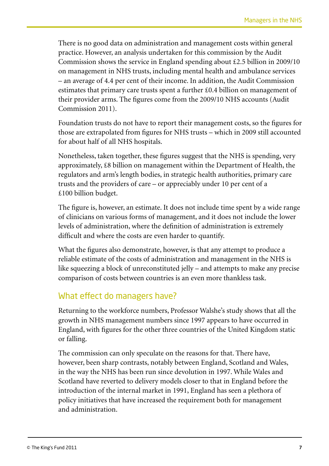There is no good data on administration and management costs within general practice. However, an analysis undertaken for this commission by the Audit Commission shows the service in England spending about £2.5 billion in 2009/10 on management in NHS trusts, including mental health and ambulance services – an average of 4.4 per cent of their income. In addition, the Audit Commission estimates that primary care trusts spent a further £0.4 billion on management of their provider arms. The figures come from the 2009/10 NHS accounts (Audit Commission 2011).

Foundation trusts do not have to report their management costs, so the figures for those are extrapolated from figures for NHS trusts – which in 2009 still accounted for about half of all NHS hospitals.

Nonetheless, taken together, these figures suggest that the NHS is spending, very approximately, £8 billion on management within the Department of Health, the regulators and arm's length bodies, in strategic health authorities, primary care trusts and the providers of care – or appreciably under 10 per cent of a £100 billion budget.

The figure is, however, an estimate. It does not include time spent by a wide range of clinicians on various forms of management, and it does not include the lower levels of administration, where the definition of administration is extremely difficult and where the costs are even harder to quantify.

What the figures also demonstrate, however, is that any attempt to produce a reliable estimate of the costs of administration and management in the NHS is like squeezing a block of unreconstituted jelly – and attempts to make any precise comparison of costs between countries is an even more thankless task.

## What effect do managers have?

Returning to the workforce numbers, Professor Walshe's study shows that all the growth in NHS management numbers since 1997 appears to have occurred in England, with figures for the other three countries of the United Kingdom static or falling.

The commission can only speculate on the reasons for that. There have, however, been sharp contrasts, notably between England, Scotland and Wales, in the way the NHS has been run since devolution in 1997. While Wales and Scotland have reverted to delivery models closer to that in England before the introduction of the internal market in 1991, England has seen a plethora of policy initiatives that have increased the requirement both for management and administration.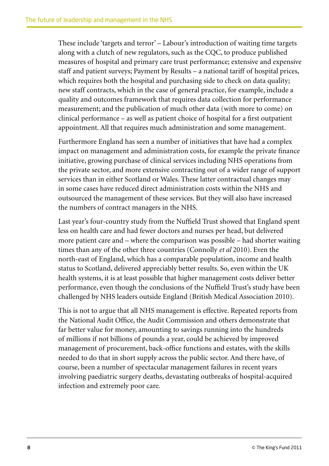These include 'targets and terror' – Labour's introduction of waiting time targets along with a clutch of new regulators, such as the CQC, to produce published measures of hospital and primary care trust performance; extensive and expensive staff and patient surveys; Payment by Results – a national tariff of hospital prices, which requires both the hospital and purchasing side to check on data quality; new staff contracts, which in the case of general practice, for example, include a quality and outcomes framework that requires data collection for performance measurement; and the publication of much other data (with more to come) on clinical performance – as well as patient choice of hospital for a first outpatient appointment. All that requires much administration and some management.

Furthermore England has seen a number of initiatives that have had a complex impact on management and administration costs, for example the private finance initiative, growing purchase of clinical services including NHS operations from the private sector, and more extensive contracting out of a wider range of support services than in either Scotland or Wales. These latter contractual changes may in some cases have reduced direct administration costs within the NHS and outsourced the management of these services. But they will also have increased the numbers of contract managers in the NHS.

Last year's four-country study from the Nuffield Trust showed that England spent less on health care and had fewer doctors and nurses per head, but delivered more patient care and – where the comparison was possible – had shorter waiting times than any of the other three countries (Connolly *et al* 2010). Even the north-east of England, which has a comparable population, income and health status to Scotland, delivered appreciably better results. So, even within the UK health systems, it is at least possible that higher management costs deliver better performance, even though the conclusions of the Nuffield Trust's study have been challenged by NHS leaders outside England (British Medical Association 2010).

This is not to argue that all NHS management is effective. Repeated reports from the National Audit Office, the Audit Commission and others demonstrate that far better value for money, amounting to savings running into the hundreds of millions if not billions of pounds a year, could be achieved by improved management of procurement, back-office functions and estates, with the skills needed to do that in short supply across the public sector. And there have, of course, been a number of spectacular management failures in recent years involving paediatric surgery deaths, devastating outbreaks of hospital-acquired infection and extremely poor care.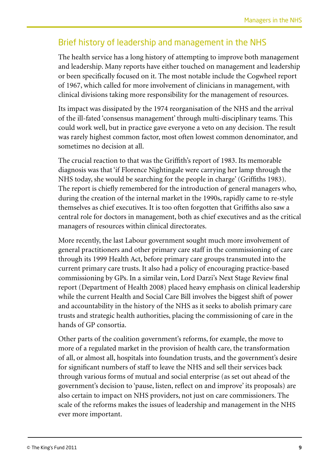## Brief history of leadership and management in the NHS

The health service has a long history of attempting to improve both management and leadership. Many reports have either touched on management and leadership or been specifically focused on it. The most notable include the Cogwheel report of 1967, which called for more involvement of clinicians in management, with clinical divisions taking more responsibility for the management of resources.

Its impact was dissipated by the 1974 reorganisation of the NHS and the arrival of the ill-fated 'consensus management' through multi-disciplinary teams. This could work well, but in practice gave everyone a veto on any decision. The result was rarely highest common factor, most often lowest common denominator, and sometimes no decision at all.

The crucial reaction to that was the Griffith's report of 1983. Its memorable diagnosis was that 'if Florence Nightingale were carrying her lamp through the NHS today, she would be searching for the people in charge' (Griffiths 1983). The report is chiefly remembered for the introduction of general managers who, during the creation of the internal market in the 1990s, rapidly came to re-style themselves as chief executives. It is too often forgotten that Griffiths also saw a central role for doctors in management, both as chief executives and as the critical managers of resources within clinical directorates.

More recently, the last Labour government sought much more involvement of general practitioners and other primary care staff in the commissioning of care through its 1999 Health Act, before primary care groups transmuted into the current primary care trusts. It also had a policy of encouraging practice-based commissioning by GPs. In a similar vein, Lord Darzi's Next Stage Review final report (Department of Health 2008) placed heavy emphasis on clinical leadership while the current Health and Social Care Bill involves the biggest shift of power and accountability in the history of the NHS as it seeks to abolish primary care trusts and strategic health authorities, placing the commissioning of care in the hands of GP consortia.

Other parts of the coalition government's reforms, for example, the move to more of a regulated market in the provision of health care, the transformation of all, or almost all, hospitals into foundation trusts, and the government's desire for significant numbers of staff to leave the NHS and sell their services back through various forms of mutual and social enterprise (as set out ahead of the government's decision to 'pause, listen, reflect on and improve' its proposals) are also certain to impact on NHS providers, not just on care commissioners. The scale of the reforms makes the issues of leadership and management in the NHS ever more important.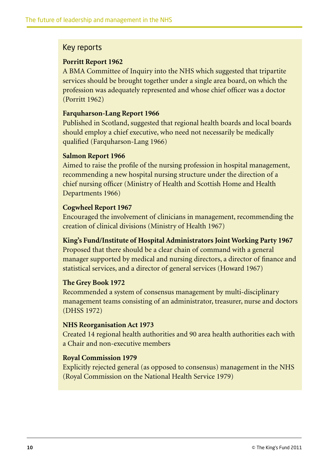### Key reports

#### **Porritt Report 1962**

A BMA Committee of Inquiry into the NHS which suggested that tripartite services should be brought together under a single area board, on which the profession was adequately represented and whose chief officer was a doctor (Porritt 1962)

#### **Farquharson-Lang Report 1966**

Published in Scotland, suggested that regional health boards and local boards should employ a chief executive, who need not necessarily be medically qualified (Farquharson-Lang 1966)

#### **Salmon Report 1966**

Aimed to raise the profile of the nursing profession in hospital management, recommending a new hospital nursing structure under the direction of a chief nursing officer (Ministry of Health and Scottish Home and Health Departments 1966)

#### **Cogwheel Report 1967**

Encouraged the involvement of clinicians in management, recommending the creation of clinical divisions (Ministry of Health 1967)

### **King's Fund/Institute of Hospital Administrators Joint Working Party 1967**

Proposed that there should be a clear chain of command with a general manager supported by medical and nursing directors, a director of finance and statistical services, and a director of general services (Howard 1967)

#### **The Grey Book 1972**

Recommended a system of consensus management by multi-disciplinary management teams consisting of an administrator, treasurer, nurse and doctors (DHSS 1972)

#### **NHS Reorganisation Act 1973**

Created 14 regional health authorities and 90 area health authorities each with a Chair and non-executive members

### **Royal Commission 1979**

Explicitly rejected general (as opposed to consensus) management in the NHS (Royal Commission on the National Health Service 1979)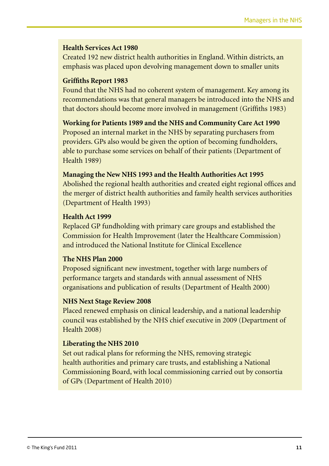#### **Health Services Act 1980**

Created 192 new district health authorities in England. Within districts, an emphasis was placed upon devolving management down to smaller units

#### **Griffiths Report 1983**

Found that the NHS had no coherent system of management. Key among its recommendations was that general managers be introduced into the NHS and that doctors should become more involved in management (Griffiths 1983)

#### **Working for Patients 1989 and the NHS and Community Care Act 1990**

Proposed an internal market in the NHS by separating purchasers from providers. GPs also would be given the option of becoming fundholders, able to purchase some services on behalf of their patients (Department of Health 1989)

#### **Managing the New NHS 1993 and the Health Authorities Act 1995**

Abolished the regional health authorities and created eight regional offices and the merger of district health authorities and family health services authorities (Department of Health 1993)

#### **Health Act 1999**

Replaced GP fundholding with primary care groups and established the Commission for Health Improvement (later the Healthcare Commission) and introduced the National Institute for Clinical Excellence

#### **The NHS Plan 2000**

Proposed significant new investment, together with large numbers of performance targets and standards with annual assessment of NHS organisations and publication of results (Department of Health 2000)

#### **NHS Next Stage Review 2008**

Placed renewed emphasis on clinical leadership, and a national leadership council was established by the NHS chief executive in 2009 (Department of Health 2008)

#### **Liberating the NHS 2010**

Set out radical plans for reforming the NHS, removing strategic health authorities and primary care trusts, and establishing a National Commissioning Board, with local commissioning carried out by consortia of GPs (Department of Health 2010)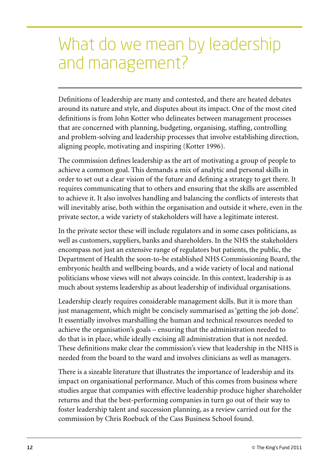# What do we mean by leadership and management?

Definitions of leadership are many and contested, and there are heated debates around its nature and style, and disputes about its impact. One of the most cited definitions is from John Kotter who delineates between management processes that are concerned with planning, budgeting, organising, staffing, controlling and problem-solving and leadership processes that involve establishing direction, aligning people, motivating and inspiring (Kotter 1996).

The commission defines leadership as the art of motivating a group of people to achieve a common goal. This demands a mix of analytic and personal skills in order to set out a clear vision of the future and defining a strategy to get there. It requires communicating that to others and ensuring that the skills are assembled to achieve it. It also involves handling and balancing the conflicts of interests that will inevitably arise, both within the organisation and outside it where, even in the private sector, a wide variety of stakeholders will have a legitimate interest.

In the private sector these will include regulators and in some cases politicians, as well as customers, suppliers, banks and shareholders. In the NHS the stakeholders encompass not just an extensive range of regulators but patients, the public, the Department of Health the soon-to-be established NHS Commissioning Board, the embryonic health and wellbeing boards, and a wide variety of local and national politicians whose views will not always coincide. In this context, leadership is as much about systems leadership as about leadership of individual organisations.

Leadership clearly requires considerable management skills. But it is more than just management, which might be concisely summarised as 'getting the job done'. It essentially involves marshalling the human and technical resources needed to achieve the organisation's goals – ensuring that the administration needed to do that is in place, while ideally excising all administration that is not needed. These definitions make clear the commission's view that leadership in the NHS is needed from the board to the ward and involves clinicians as well as managers.

There is a sizeable literature that illustrates the importance of leadership and its impact on organisational performance. Much of this comes from business where studies argue that companies with effective leadership produce higher shareholder returns and that the best-performing companies in turn go out of their way to foster leadership talent and succession planning, as a review carried out for the commission by Chris Roebuck of the Cass Business School found.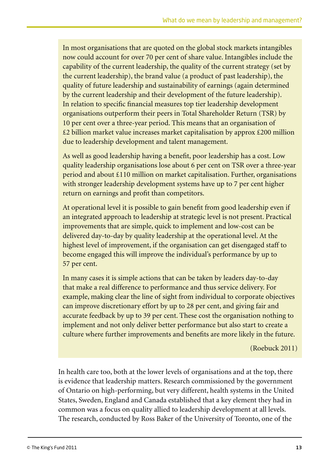In most organisations that are quoted on the global stock markets intangibles now could account for over 70 per cent of share value. Intangibles include the capability of the current leadership, the quality of the current strategy (set by the current leadership), the brand value (a product of past leadership), the quality of future leadership and sustainability of earnings (again determined by the current leadership and their development of the future leadership). In relation to specific financial measures top tier leadership development organisations outperform their peers in Total Shareholder Return (TSR) by 10 per cent over a three-year period. This means that an organisation of £2 billion market value increases market capitalisation by approx £200 million due to leadership development and talent management.

As well as good leadership having a benefit, poor leadership has a cost. Low quality leadership organisations lose about 6 per cent on TSR over a three-year period and about £110 million on market capitalisation. Further, organisations with stronger leadership development systems have up to 7 per cent higher return on earnings and profit than competitors.

At operational level it is possible to gain benefit from good leadership even if an integrated approach to leadership at strategic level is not present. Practical improvements that are simple, quick to implement and low-cost can be delivered day-to-day by quality leadership at the operational level. At the highest level of improvement, if the organisation can get disengaged staff to become engaged this will improve the individual's performance by up to 57 per cent.

In many cases it is simple actions that can be taken by leaders day-to-day that make a real difference to performance and thus service delivery. For example, making clear the line of sight from individual to corporate objectives can improve discretionary effort by up to 28 per cent, and giving fair and accurate feedback by up to 39 per cent. These cost the organisation nothing to implement and not only deliver better performance but also start to create a culture where further improvements and benefits are more likely in the future.

(Roebuck 2011)

In health care too, both at the lower levels of organisations and at the top, there is evidence that leadership matters. Research commissioned by the government of Ontario on high-performing, but very different, health systems in the United States, Sweden, England and Canada established that a key element they had in common was a focus on quality allied to leadership development at all levels. The research, conducted by Ross Baker of the University of Toronto, one of the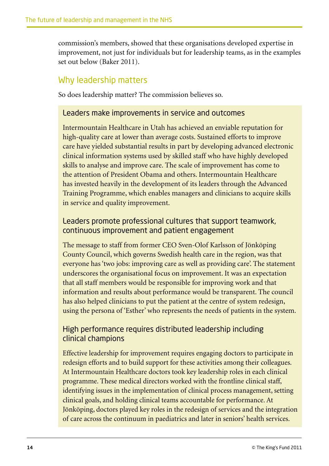commission's members, showed that these organisations developed expertise in improvement, not just for individuals but for leadership teams, as in the examples set out below (Baker 2011).

## Why leadership matters

So does leadership matter? The commission believes so.

### Leaders make improvements in service and outcomes

Intermountain Healthcare in Utah has achieved an enviable reputation for high-quality care at lower than average costs. Sustained efforts to improve care have yielded substantial results in part by developing advanced electronic clinical information systems used by skilled staff who have highly developed skills to analyse and improve care. The scale of improvement has come to the attention of President Obama and others. Intermountain Healthcare has invested heavily in the development of its leaders through the Advanced Training Programme, which enables managers and clinicians to acquire skills in service and quality improvement.

## Leaders promote professional cultures that support teamwork, continuous improvement and patient engagement

The message to staff from former CEO Sven-Olof Karlsson of Jönköping County Council, which governs Swedish health care in the region, was that everyone has 'two jobs: improving care as well as providing care'. The statement underscores the organisational focus on improvement. It was an expectation that all staff members would be responsible for improving work and that information and results about performance would be transparent. The council has also helped clinicians to put the patient at the centre of system redesign, using the persona of 'Esther' who represents the needs of patients in the system.

## High performance requires distributed leadership including clinical champions

Effective leadership for improvement requires engaging doctors to participate in redesign efforts and to build support for these activities among their colleagues. At Intermountain Healthcare doctors took key leadership roles in each clinical programme. These medical directors worked with the frontline clinical staff, identifying issues in the implementation of clinical process management, setting clinical goals, and holding clinical teams accountable for performance. At Jönköping, doctors played key roles in the redesign of services and the integration of care across the continuum in paediatrics and later in seniors' health services.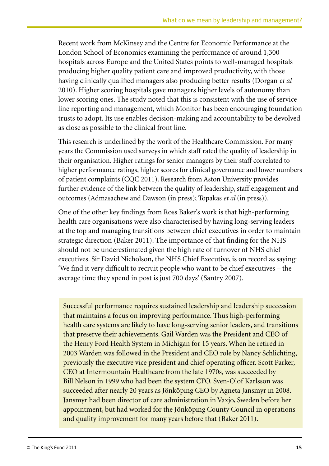Recent work from McKinsey and the Centre for Economic Performance at the London School of Economics examining the performance of around 1,300 hospitals across Europe and the United States points to well-managed hospitals producing higher quality patient care and improved productivity, with those having clinically qualified managers also producing better results (Dorgan *et al* 2010). Higher scoring hospitals gave managers higher levels of autonomy than lower scoring ones. The study noted that this is consistent with the use of service line reporting and management, which Monitor has been encouraging foundation trusts to adopt. Its use enables decision-making and accountability to be devolved as close as possible to the clinical front line.

This research is underlined by the work of the Healthcare Commission. For many years the Commission used surveys in which staff rated the quality of leadership in their organisation. Higher ratings for senior managers by their staff correlated to higher performance ratings, higher scores for clinical governance and lower numbers of patient complaints (CQC 2011). Research from Aston University provides further evidence of the link between the quality of leadership, staff engagement and outcomes (Admasachew and Dawson (in press); Topakas *et al* (in press)).

One of the other key findings from Ross Baker's work is that high-performing health care organisations were also characterised by having long-serving leaders at the top and managing transitions between chief executives in order to maintain strategic direction (Baker 2011). The importance of that finding for the NHS should not be underestimated given the high rate of turnover of NHS chief executives. Sir David Nicholson, the NHS Chief Executive, is on record as saying: 'We find it very difficult to recruit people who want to be chief executives – the average time they spend in post is just 700 days' (Santry 2007).

Successful performance requires sustained leadership and leadership succession that maintains a focus on improving performance. Thus high-performing health care systems are likely to have long-serving senior leaders, and transitions that preserve their achievements. Gail Warden was the President and CEO of the Henry Ford Health System in Michigan for 15 years. When he retired in 2003 Warden was followed in the President and CEO role by Nancy Schlichting, previously the executive vice president and chief operating officer. Scott Parker, CEO at Intermountain Healthcare from the late 1970s, was succeeded by Bill Nelson in 1999 who had been the system CFO. Sven-Olof Karlsson was succeeded after nearly 20 years as Jönköping CEO by Agneta Jansmyr in 2008. Jansmyr had been director of care administration in Vaxjo, Sweden before her appointment, but had worked for the Jönköping County Council in operations and quality improvement for many years before that (Baker 2011).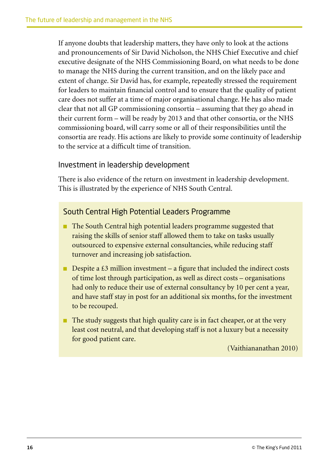If anyone doubts that leadership matters, they have only to look at the actions and pronouncements of Sir David Nicholson, the NHS Chief Executive and chief executive designate of the NHS Commissioning Board, on what needs to be done to manage the NHS during the current transition, and on the likely pace and extent of change. Sir David has, for example, repeatedly stressed the requirement for leaders to maintain financial control and to ensure that the quality of patient care does not suffer at a time of major organisational change. He has also made clear that not all GP commissioning consortia – assuming that they go ahead in their current form – will be ready by 2013 and that other consortia, or the NHS commissioning board, will carry some or all of their responsibilities until the consortia are ready. His actions are likely to provide some continuity of leadership to the service at a difficult time of transition.

### Investment in leadership development

There is also evidence of the return on investment in leadership development. This is illustrated by the experience of NHS South Central.

### South Central High Potential Leaders Programme

- The South Central high potential leaders programme suggested that raising the skills of senior staff allowed them to take on tasks usually outsourced to expensive external consultancies, while reducing staff turnover and increasing job satisfaction.
- **•** Despite a  $\text{\pounds}3$  million investment a figure that included the indirect costs of time lost through participation, as well as direct costs – organisations had only to reduce their use of external consultancy by 10 per cent a year, and have staff stay in post for an additional six months, for the investment to be recouped.
- The study suggests that high quality care is in fact cheaper, or at the very least cost neutral, and that developing staff is not a luxury but a necessity for good patient care.

(Vaithiananathan 2010)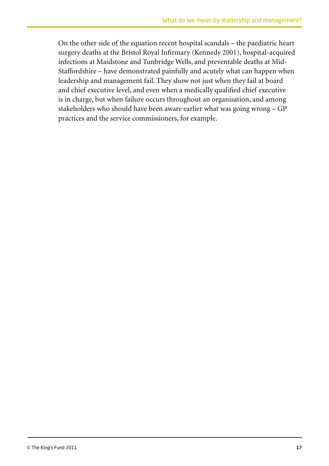On the other side of the equation recent hospital scandals – the paediatric heart surgery deaths at the Bristol Royal Infirmary (Kennedy 2001), hospital-acquired infections at Maidstone and Tunbridge Wells, and preventable deaths at Mid-Staffordshire – have demonstrated painfully and acutely what can happen when leadership and management fail. They show not just when they fail at board and chief executive level, and even when a medically qualified chief executive is in charge, but when failure occurs throughout an organisation, and among stakeholders who should have been aware earlier what was going wrong – GP practices and the service commissioners, for example.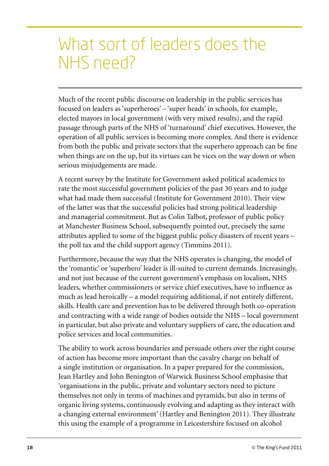## What sort of leaders does the NHS need?

Much of the recent public discourse on leadership in the public services has focused on leaders as 'superheroes' – 'super heads' in schools, for example, elected mayors in local government (with very mixed results), and the rapid passage through parts of the NHS of 'turnaround' chief executives. However, the operation of all public services is becoming more complex. And there is evidence from both the public and private sectors that the superhero approach can be fine when things are on the up, but its virtues can be vices on the way down or when serious misjudgements are made.

A recent survey by the Institute for Government asked political academics to rate the most successful government policies of the past 30 years and to judge what had made them successful (Institute for Government 2010). Their view of the latter was that the successful policies had strong political leadership and managerial commitment. But as Colin Talbot, professor of public policy at Manchester Business School, subsequently pointed out, precisely the same attributes applied to some of the biggest public policy disasters of recent years – the poll tax and the child support agency (Timmins 2011).

Furthermore, because the way that the NHS operates is changing, the model of the 'romantic' or 'superhero' leader is ill-suited to current demands. Increasingly, and not just because of the current government's emphasis on localism, NHS leaders, whether commissioners or service chief executives, have to influence as much as lead heroically – a model requiring additional, if not entirely different, skills. Health care and prevention has to be delivered through both co-operation and contracting with a wide range of bodies outside the NHS – local government in particular, but also private and voluntary suppliers of care, the education and police services and local communities.

The ability to work across boundaries and persuade others over the right course of action has become more important than the cavalry charge on behalf of a single institution or organisation. In a paper prepared for the commission, Jean Hartley and John Benington of Warwick Business School emphasise that 'organisations in the public, private and voluntary sectors need to picture themselves not only in terms of machines and pyramids, but also in terms of organic living systems, continuously evolving and adapting as they interact with a changing external environment' (Hartley and Benington 2011). They illustrate this using the example of a programme in Leicestershire focused on alcohol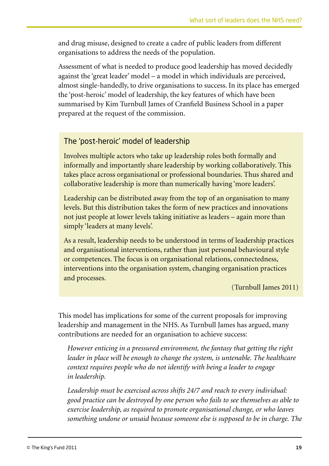and drug misuse, designed to create a cadre of public leaders from different organisations to address the needs of the population.

Assessment of what is needed to produce good leadership has moved decidedly against the 'great leader' model – a model in which individuals are perceived, almost single-handedly, to drive organisations to success. In its place has emerged the 'post-heroic' model of leadership, the key features of which have been summarised by Kim Turnbull James of Cranfield Business School in a paper prepared at the request of the commission.

## The 'post-heroic' model of leadership

Involves multiple actors who take up leadership roles both formally and informally and importantly share leadership by working collaboratively. This takes place across organisational or professional boundaries. Thus shared and collaborative leadership is more than numerically having 'more leaders'.

Leadership can be distributed away from the top of an organisation to many levels. But this distribution takes the form of new practices and innovations not just people at lower levels taking initiative as leaders – again more than simply 'leaders at many levels'.

As a result, leadership needs to be understood in terms of leadership practices and organisational interventions, rather than just personal behavioural style or competences. The focus is on organisational relations, connectedness, interventions into the organisation system, changing organisation practices and processes.

(Turnbull James 2011)

This model has implications for some of the current proposals for improving leadership and management in the NHS. As Turnbull James has argued, many contributions are needed for an organisation to achieve success:

*However enticing in a pressured environment, the fantasy that getting the right leader in place will be enough to change the system, is untenable. The healthcare context requires people who do not identify with being a leader to engage in leadership.* 

*Leadership must be exercised across shifts 24/7 and reach to every individual: good practice can be destroyed by one person who fails to see themselves as able to exercise leadership, as required to promote organisational change, or who leaves something undone or unsaid because someone else is supposed to be in charge. The*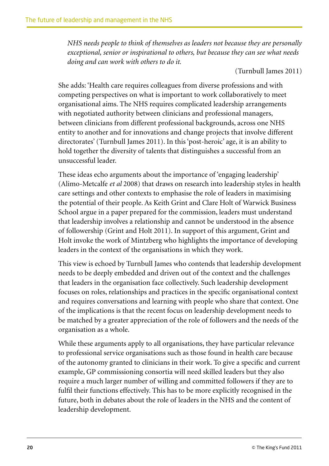*NHS needs people to think of themselves as leaders not because they are personally exceptional, senior or inspirational to others, but because they can see what needs doing and can work with others to do it.*

(Turnbull James 2011)

She adds: 'Health care requires colleagues from diverse professions and with competing perspectives on what is important to work collaboratively to meet organisational aims. The NHS requires complicated leadership arrangements with negotiated authority between clinicians and professional managers, between clinicians from different professional backgrounds, across one NHS entity to another and for innovations and change projects that involve different directorates' (Turnbull James 2011). In this 'post-heroic' age, it is an ability to hold together the diversity of talents that distinguishes a successful from an unsuccessful leader.

These ideas echo arguments about the importance of 'engaging leadership' (Alimo-Metcalfe *et al* 2008) that draws on research into leadership styles in health care settings and other contexts to emphasise the role of leaders in maximising the potential of their people. As Keith Grint and Clare Holt of Warwick Business School argue in a paper prepared for the commission, leaders must understand that leadership involves a relationship and cannot be understood in the absence of followership (Grint and Holt 2011). In support of this argument, Grint and Holt invoke the work of Mintzberg who highlights the importance of developing leaders in the context of the organisations in which they work.

This view is echoed by Turnbull James who contends that leadership development needs to be deeply embedded and driven out of the context and the challenges that leaders in the organisation face collectively. Such leadership development focuses on roles, relationships and practices in the specific organisational context and requires conversations and learning with people who share that context. One of the implications is that the recent focus on leadership development needs to be matched by a greater appreciation of the role of followers and the needs of the organisation as a whole.

While these arguments apply to all organisations, they have particular relevance to professional service organisations such as those found in health care because of the autonomy granted to clinicians in their work. To give a specific and current example, GP commissioning consortia will need skilled leaders but they also require a much larger number of willing and committed followers if they are to fulfil their functions effectively. This has to be more explicitly recognised in the future, both in debates about the role of leaders in the NHS and the content of leadership development.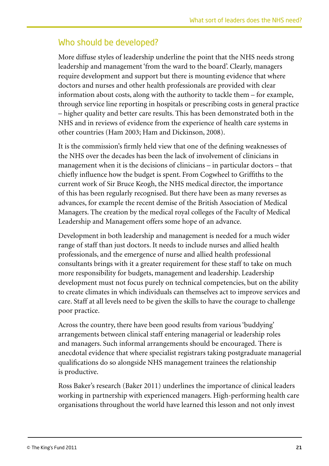## Who should be developed?

More diffuse styles of leadership underline the point that the NHS needs strong leadership and management 'from the ward to the board'. Clearly, managers require development and support but there is mounting evidence that where doctors and nurses and other health professionals are provided with clear information about costs, along with the authority to tackle them – for example, through service line reporting in hospitals or prescribing costs in general practice – higher quality and better care results. This has been demonstrated both in the NHS and in reviews of evidence from the experience of health care systems in other countries (Ham 2003; Ham and Dickinson, 2008).

It is the commission's firmly held view that one of the defining weaknesses of the NHS over the decades has been the lack of involvement of clinicians in management when it is the decisions of clinicians – in particular doctors – that chiefly influence how the budget is spent. From Cogwheel to Griffiths to the current work of Sir Bruce Keogh, the NHS medical director, the importance of this has been regularly recognised. But there have been as many reverses as advances, for example the recent demise of the British Association of Medical Managers. The creation by the medical royal colleges of the Faculty of Medical Leadership and Management offers some hope of an advance.

Development in both leadership and management is needed for a much wider range of staff than just doctors. It needs to include nurses and allied health professionals, and the emergence of nurse and allied health professional consultants brings with it a greater requirement for these staff to take on much more responsibility for budgets, management and leadership. Leadership development must not focus purely on technical competencies, but on the ability to create climates in which individuals can themselves act to improve services and care. Staff at all levels need to be given the skills to have the courage to challenge poor practice.

Across the country, there have been good results from various 'buddying' arrangements between clinical staff entering managerial or leadership roles and managers. Such informal arrangements should be encouraged. There is anecdotal evidence that where specialist registrars taking postgraduate managerial qualifications do so alongside NHS management trainees the relationship is productive.

Ross Baker's research (Baker 2011) underlines the importance of clinical leaders working in partnership with experienced managers. High-performing health care organisations throughout the world have learned this lesson and not only invest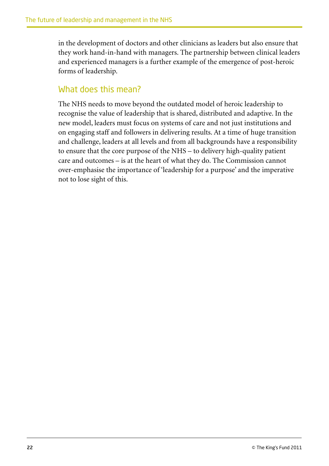in the development of doctors and other clinicians as leaders but also ensure that they work hand-in-hand with managers. The partnership between clinical leaders and experienced managers is a further example of the emergence of post-heroic forms of leadership.

### What does this mean?

The NHS needs to move beyond the outdated model of heroic leadership to recognise the value of leadership that is shared, distributed and adaptive. In the new model, leaders must focus on systems of care and not just institutions and on engaging staff and followers in delivering results. At a time of huge transition and challenge, leaders at all levels and from all backgrounds have a responsibility to ensure that the core purpose of the NHS – to delivery high-quality patient care and outcomes – is at the heart of what they do. The Commission cannot over-emphasise the importance of 'leadership for a purpose' and the imperative not to lose sight of this.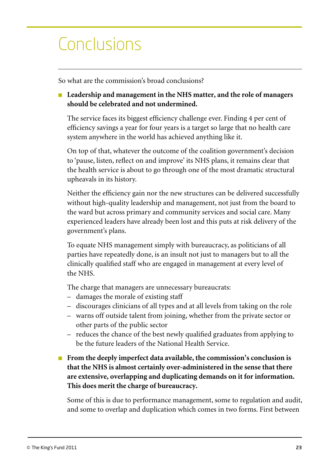# Conclusions

So what are the commission's broad conclusions?

### ■ Leadership and management in the NHS matter, and the role of managers **should be celebrated and not undermined.**

The service faces its biggest efficiency challenge ever. Finding 4 per cent of efficiency savings a year for four years is a target so large that no health care system anywhere in the world has achieved anything like it.

On top of that, whatever the outcome of the coalition government's decision to 'pause, listen, reflect on and improve' its NHS plans, it remains clear that the health service is about to go through one of the most dramatic structural upheavals in its history.

Neither the efficiency gain nor the new structures can be delivered successfully without high-quality leadership and management, not just from the board to the ward but across primary and community services and social care. Many experienced leaders have already been lost and this puts at risk delivery of the government's plans.

To equate NHS management simply with bureaucracy, as politicians of all parties have repeatedly done, is an insult not just to managers but to all the clinically qualified staff who are engaged in management at every level of the NHS.

The charge that managers are unnecessary bureaucrats:

- damages the morale of existing staff
- discourages clinicians of all types and at all levels from taking on the role
- warns off outside talent from joining, whether from the private sector or other parts of the public sector
- reduces the chance of the best newly qualified graduates from applying to be the future leaders of the National Health Service.
- **From the deeply imperfect data available, the commission's conclusion is that the NHS is almost certainly over-administered in the sense that there are extensive, overlapping and duplicating demands on it for information. This does merit the charge of bureaucracy.**

Some of this is due to performance management, some to regulation and audit, and some to overlap and duplication which comes in two forms. First between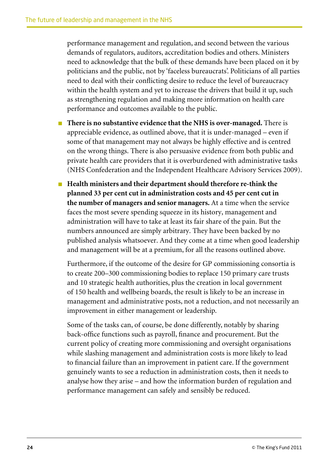performance management and regulation, and second between the various demands of regulators, auditors, accreditation bodies and others. Ministers need to acknowledge that the bulk of these demands have been placed on it by politicians and the public, not by 'faceless bureaucrats'. Politicians of all parties need to deal with their conflicting desire to reduce the level of bureaucracy within the health system and yet to increase the drivers that build it up, such as strengthening regulation and making more information on health care performance and outcomes available to the public.

- <sup>n</sup> **There is no substantive evidence that the NHS is over-managed.** There is appreciable evidence, as outlined above, that it is under-managed – even if some of that management may not always be highly effective and is centred on the wrong things. There is also persuasive evidence from both public and private health care providers that it is overburdened with administrative tasks (NHS Confederation and the Independent Healthcare Advisory Services 2009).
- Health ministers and their department should therefore re-think the **planned 33 per cent cut in administration costs and 45 per cent cut in the number of managers and senior managers.** At a time when the service faces the most severe spending squeeze in its history, management and administration will have to take at least its fair share of the pain. But the numbers announced are simply arbitrary. They have been backed by no published analysis whatsoever. And they come at a time when good leadership and management will be at a premium, for all the reasons outlined above.

Furthermore, if the outcome of the desire for GP commissioning consortia is to create 200–300 commissioning bodies to replace 150 primary care trusts and 10 strategic health authorities, plus the creation in local government of 150 health and wellbeing boards, the result is likely to be an increase in management and administrative posts, not a reduction, and not necessarily an improvement in either management or leadership.

Some of the tasks can, of course, be done differently, notably by sharing back-office functions such as payroll, finance and procurement. But the current policy of creating more commissioning and oversight organisations while slashing management and administration costs is more likely to lead to financial failure than an improvement in patient care. If the government genuinely wants to see a reduction in administration costs, then it needs to analyse how they arise – and how the information burden of regulation and performance management can safely and sensibly be reduced.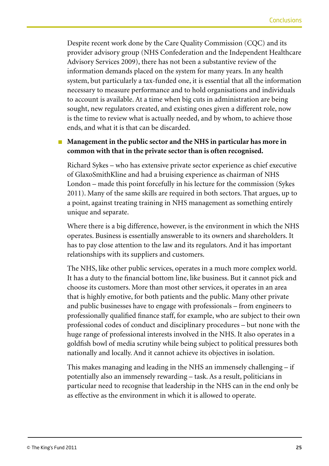Despite recent work done by the Care Quality Commission (CQC) and its provider advisory group (NHS Confederation and the Independent Healthcare Advisory Services 2009), there has not been a substantive review of the information demands placed on the system for many years. In any health system, but particularly a tax-funded one, it is essential that all the information necessary to measure performance and to hold organisations and individuals to account is available. At a time when big cuts in administration are being sought, new regulators created, and existing ones given a different role, now is the time to review what is actually needed, and by whom, to achieve those ends, and what it is that can be discarded.

### ■ Management in the public sector and the NHS in particular has more in **common with that in the private sector than is often recognised.**

Richard Sykes – who has extensive private sector experience as chief executive of GlaxoSmithKline and had a bruising experience as chairman of NHS London – made this point forcefully in his lecture for the commission (Sykes 2011). Many of the same skills are required in both sectors. That argues, up to a point, against treating training in NHS management as something entirely unique and separate.

Where there is a big difference, however, is the environment in which the NHS operates. Business is essentially answerable to its owners and shareholders. It has to pay close attention to the law and its regulators. And it has important relationships with its suppliers and customers.

The NHS, like other public services, operates in a much more complex world. It has a duty to the financial bottom line, like business. But it cannot pick and choose its customers. More than most other services, it operates in an area that is highly emotive, for both patients and the public. Many other private and public businesses have to engage with professionals – from engineers to professionally qualified finance staff, for example, who are subject to their own professional codes of conduct and disciplinary procedures – but none with the huge range of professional interests involved in the NHS. It also operates in a goldfish bowl of media scrutiny while being subject to political pressures both nationally and locally. And it cannot achieve its objectives in isolation.

This makes managing and leading in the NHS an immensely challenging – if potentially also an immensely rewarding – task. As a result, politicians in particular need to recognise that leadership in the NHS can in the end only be as effective as the environment in which it is allowed to operate.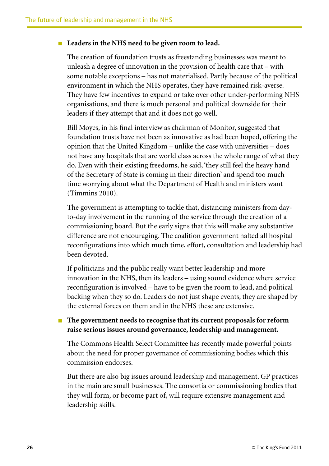#### <sup>n</sup> **Leaders in the NHS need to be given room to lead.**

The creation of foundation trusts as freestanding businesses was meant to unleash a degree of innovation in the provision of health care that – with some notable exceptions – has not materialised. Partly because of the political environment in which the NHS operates, they have remained risk-averse. They have few incentives to expand or take over other under-performing NHS organisations, and there is much personal and political downside for their leaders if they attempt that and it does not go well.

Bill Moyes, in his final interview as chairman of Monitor, suggested that foundation trusts have not been as innovative as had been hoped, offering the opinion that the United Kingdom – unlike the case with universities – does not have any hospitals that are world class across the whole range of what they do. Even with their existing freedoms, he said, 'they still feel the heavy hand of the Secretary of State is coming in their direction' and spend too much time worrying about what the Department of Health and ministers want (Timmins 2010).

The government is attempting to tackle that, distancing ministers from dayto-day involvement in the running of the service through the creation of a commissioning board. But the early signs that this will make any substantive difference are not encouraging. The coalition government halted all hospital reconfigurations into which much time, effort, consultation and leadership had been devoted.

If politicians and the public really want better leadership and more innovation in the NHS, then its leaders – using sound evidence where service reconfiguration is involved – have to be given the room to lead, and political backing when they so do. Leaders do not just shape events, they are shaped by the external forces on them and in the NHS these are extensive.

<sup>n</sup> **The government needs to recognise that its current proposals for reform raise serious issues around governance, leadership and management.**

The Commons Health Select Committee has recently made powerful points about the need for proper governance of commissioning bodies which this commission endorses.

But there are also big issues around leadership and management. GP practices in the main are small businesses. The consortia or commissioning bodies that they will form, or become part of, will require extensive management and leadership skills.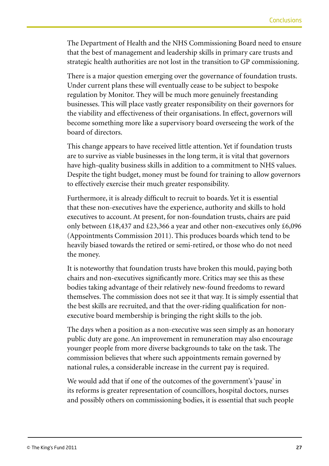The Department of Health and the NHS Commissioning Board need to ensure that the best of management and leadership skills in primary care trusts and strategic health authorities are not lost in the transition to GP commissioning.

There is a major question emerging over the governance of foundation trusts. Under current plans these will eventually cease to be subject to bespoke regulation by Monitor. They will be much more genuinely freestanding businesses. This will place vastly greater responsibility on their governors for the viability and effectiveness of their organisations. In effect, governors will become something more like a supervisory board overseeing the work of the board of directors.

This change appears to have received little attention. Yet if foundation trusts are to survive as viable businesses in the long term, it is vital that governors have high-quality business skills in addition to a commitment to NHS values. Despite the tight budget, money must be found for training to allow governors to effectively exercise their much greater responsibility.

Furthermore, it is already difficult to recruit to boards. Yet it is essential that these non-executives have the experience, authority and skills to hold executives to account. At present, for non-foundation trusts, chairs are paid only between £18,437 and £23,366 a year and other non-executives only £6,096 (Appointments Commission 2011). This produces boards which tend to be heavily biased towards the retired or semi-retired, or those who do not need the money.

It is noteworthy that foundation trusts have broken this mould, paying both chairs and non-executives significantly more. Critics may see this as these bodies taking advantage of their relatively new-found freedoms to reward themselves. The commission does not see it that way. It is simply essential that the best skills are recruited, and that the over-riding qualification for nonexecutive board membership is bringing the right skills to the job.

The days when a position as a non-executive was seen simply as an honorary public duty are gone. An improvement in remuneration may also encourage younger people from more diverse backgrounds to take on the task. The commission believes that where such appointments remain governed by national rules, a considerable increase in the current pay is required.

We would add that if one of the outcomes of the government's 'pause' in its reforms is greater representation of councillors, hospital doctors, nurses and possibly others on commissioning bodies, it is essential that such people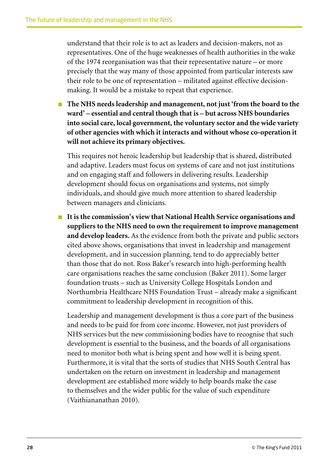understand that their role is to act as leaders and decision-makers, not as representatives. One of the huge weaknesses of health authorities in the wake of the 1974 reorganisation was that their representative nature – or more precisely that the way many of those appointed from particular interests saw their role to be one of representation – militated against effective decisionmaking. It would be a mistake to repeat that experience.

<sup>n</sup> **The NHS needs leadership and management, not just 'from the board to the ward' – essential and central though that is – but across NHS boundaries into social care, local government, the voluntary sector and the wide variety of other agencies with which it interacts and without whose co-operation it will not achieve its primary objectives.**

This requires not heroic leadership but leadership that is shared, distributed and adaptive. Leaders must focus on systems of care and not just institutions and on engaging staff and followers in delivering results. Leadership development should focus on organisations and systems, not simply individuals, and should give much more attention to shared leadership between managers and clinicians.

■ It is the commission's view that National Health Service organisations and **suppliers to the NHS need to own the requirement to improve management and develop leaders.** As the evidence from both the private and public sectors cited above shows, organisations that invest in leadership and management development, and in succession planning, tend to do appreciably better than those that do not. Ross Baker's research into high-performing health care organisations reaches the same conclusion (Baker 2011). Some larger foundation trusts – such as University College Hospitals London and Northumbria Healthcare NHS Foundation Trust – already make a significant commitment to leadership development in recognition of this.

Leadership and management development is thus a core part of the business and needs to be paid for from core income. However, not just providers of NHS services but the new commissioning bodies have to recognise that such development is essential to the business, and the boards of all organisations need to monitor both what is being spent and how well it is being spent. Furthermore, it is vital that the sorts of studies that NHS South Central has undertaken on the return on investment in leadership and management development are established more widely to help boards make the case to themselves and the wider public for the value of such expenditure (Vaithiananathan 2010).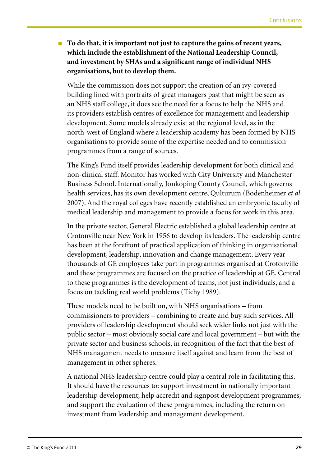■ **To do that, it is important not just to capture the gains of recent years, which include the establishment of the National Leadership Council, and investment by SHAs and a significant range of individual NHS organisations, but to develop them.**

While the commission does not support the creation of an ivy-covered building lined with portraits of great managers past that might be seen as an NHS staff college, it does see the need for a focus to help the NHS and its providers establish centres of excellence for management and leadership development. Some models already exist at the regional level, as in the north-west of England where a leadership academy has been formed by NHS organisations to provide some of the expertise needed and to commission programmes from a range of sources.

The King's Fund itself provides leadership development for both clinical and non-clinical staff. Monitor has worked with City University and Manchester Business School. Internationally, Jönköping County Council, which governs health services, has its own development centre, Qulturum (Bodenheimer *et al* 2007). And the royal colleges have recently established an embryonic faculty of medical leadership and management to provide a focus for work in this area.

In the private sector, General Electric established a global leadership centre at Crotonville near New York in 1956 to develop its leaders. The leadership centre has been at the forefront of practical application of thinking in organisational development, leadership, innovation and change management. Every year thousands of GE employees take part in programmes organised at Crotonville and these programmes are focused on the practice of leadership at GE. Central to these programmes is the development of teams, not just individuals, and a focus on tackling real world problems (Tichy 1989).

These models need to be built on, with NHS organisations – from commissioners to providers – combining to create and buy such services. All providers of leadership development should seek wider links not just with the public sector – most obviously social care and local government – but with the private sector and business schools, in recognition of the fact that the best of NHS management needs to measure itself against and learn from the best of management in other spheres.

A national NHS leadership centre could play a central role in facilitating this. It should have the resources to: support investment in nationally important leadership development; help accredit and signpost development programmes; and support the evaluation of these programmes, including the return on investment from leadership and management development.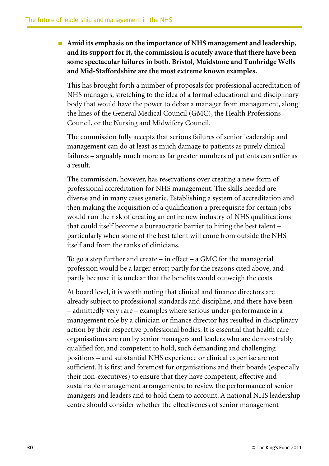■ Amid its emphasis on the importance of NHS management and leadership, **and its support for it, the commission is acutely aware that there have been some spectacular failures in both. Bristol, Maidstone and Tunbridge Wells and Mid-Staffordshire are the most extreme known examples.**

This has brought forth a number of proposals for professional accreditation of NHS managers, stretching to the idea of a formal educational and disciplinary body that would have the power to debar a manager from management, along the lines of the General Medical Council (GMC), the Health Professions Council, or the Nursing and Midwifery Council.

The commission fully accepts that serious failures of senior leadership and management can do at least as much damage to patients as purely clinical failures – arguably much more as far greater numbers of patients can suffer as a result.

The commission, however, has reservations over creating a new form of professional accreditation for NHS management. The skills needed are diverse and in many cases generic. Establishing a system of accreditation and then making the acquisition of a qualification a prerequisite for certain jobs would run the risk of creating an entire new industry of NHS qualifications that could itself become a bureaucratic barrier to hiring the best talent – particularly when some of the best talent will come from outside the NHS itself and from the ranks of clinicians.

To go a step further and create – in effect – a GMC for the managerial profession would be a larger error; partly for the reasons cited above, and partly because it is unclear that the benefits would outweigh the costs.

At board level, it is worth noting that clinical and finance directors are already subject to professional standards and discipline, and there have been – admittedly very rare – examples where serious under-performance in a management role by a clinician or finance director has resulted in disciplinary action by their respective professional bodies. It is essential that health care organisations are run by senior managers and leaders who are demonstrably qualified for, and competent to hold, such demanding and challenging positions – and substantial NHS experience or clinical expertise are not sufficient. It is first and foremost for organisations and their boards (especially their non-executives) to ensure that they have competent, effective and sustainable management arrangements; to review the performance of senior managers and leaders and to hold them to account. A national NHS leadership centre should consider whether the effectiveness of senior management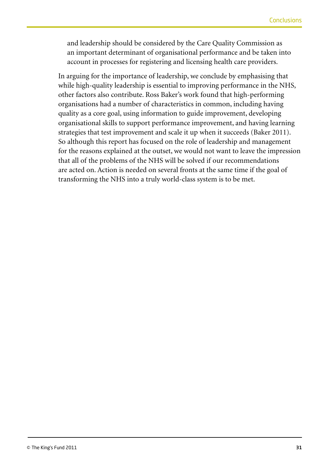and leadership should be considered by the Care Quality Commission as an important determinant of organisational performance and be taken into account in processes for registering and licensing health care providers.

In arguing for the importance of leadership, we conclude by emphasising that while high-quality leadership is essential to improving performance in the NHS, other factors also contribute. Ross Baker's work found that high-performing organisations had a number of characteristics in common, including having quality as a core goal, using information to guide improvement, developing organisational skills to support performance improvement, and having learning strategies that test improvement and scale it up when it succeeds (Baker 2011). So although this report has focused on the role of leadership and management for the reasons explained at the outset, we would not want to leave the impression that all of the problems of the NHS will be solved if our recommendations are acted on. Action is needed on several fronts at the same time if the goal of transforming the NHS into a truly world-class system is to be met.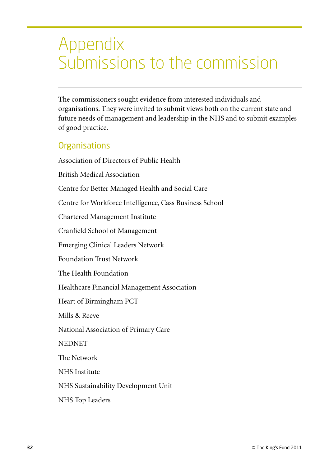## Appendix Submissions to the commission

The commissioners sought evidence from interested individuals and organisations. They were invited to submit views both on the current state and future needs of management and leadership in the NHS and to submit examples of good practice.

## **Organisations**

Association of Directors of Public Health British Medical Association Centre for Better Managed Health and Social Care Centre for Workforce Intelligence, Cass Business School Chartered Management Institute Cranfield School of Management Emerging Clinical Leaders Network Foundation Trust Network The Health Foundation Healthcare Financial Management Association Heart of Birmingham PCT Mills & Reeve National Association of Primary Care **NEDNET** The Network NHS Institute NHS Sustainability Development Unit NHS Top Leaders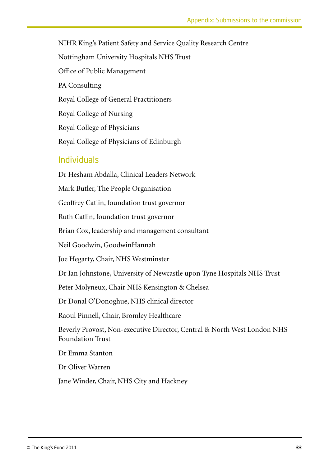NIHR King's Patient Safety and Service Quality Research Centre Nottingham University Hospitals NHS Trust Office of Public Management PA Consulting Royal College of General Practitioners Royal College of Nursing Royal College of Physicians Royal College of Physicians of Edinburgh

## Individuals

Dr Hesham Abdalla, Clinical Leaders Network Mark Butler, The People Organisation Geoffrey Catlin, foundation trust governor Ruth Catlin, foundation trust governor Brian Cox, leadership and management consultant Neil Goodwin, GoodwinHannah Joe Hegarty, Chair, NHS Westminster Dr Ian Johnstone, University of Newcastle upon Tyne Hospitals NHS Trust Peter Molyneux, Chair NHS Kensington & Chelsea Dr Donal O'Donoghue, NHS clinical director Raoul Pinnell, Chair, Bromley Healthcare Beverly Provost, Non-executive Director, Central & North West London NHS Foundation Trust Dr Emma Stanton Dr Oliver Warren Jane Winder, Chair, NHS City and Hackney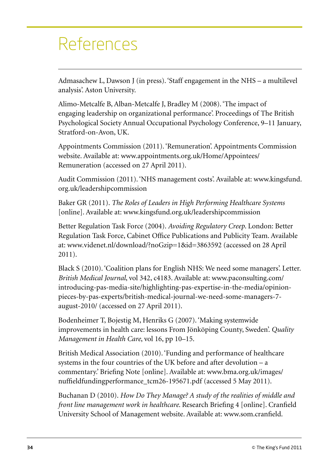# References

Admasachew L, Dawson J (in press). 'Staff engagement in the NHS – a multilevel analysis'. Aston University.

Alimo-Metcalfe B, Alban-Metcalfe J, Bradley M (2008). 'The impact of engaging leadership on organizational performance'. Proceedings of The British Psychological Society Annual Occupational Psychology Conference, 9–11 January, Stratford-on-Avon, UK.

Appointments Commission (2011). 'Remuneration'. Appointments Commission website. Available at: www.appointments.org.uk/Home/Appointees/ Remuneration (accessed on 27 April 2011).

Audit Commission (2011). 'NHS management costs'. Available at: www.kingsfund. org.uk/leadershipcommission

Baker GR (2011). *The Roles of Leaders in High Performing Healthcare Systems* [online]. Available at: www.kingsfund.org.uk/leadershipcommission

Better Regulation Task Force (2004). *Avoiding Regulatory Creep*. London: Better Regulation Task Force, Cabinet Office Publications and Publicity Team. Available at: www.videnet.nl/download/?noGzip=1&id=3863592 (accessed on 28 April 2011).

Black S (2010). 'Coalition plans for English NHS: We need some managers'. Letter. *British Medical Journal*, vol 342, c4183. Available at: www.paconsulting.com/ introducing-pas-media-site/highlighting-pas-expertise-in-the-media/opinionpieces-by-pas-experts/british-medical-journal-we-need-some-managers-7 august-2010/ (accessed on 27 April 2011).

Bodenheimer T, Bojestig M, Henriks G (2007). 'Making systemwide improvements in health care: lessons From Jönköping County, Sweden'. *Quality Management in Health Care*, vol 16, pp 10–15.

British Medical Association (2010). 'Funding and performance of healthcare systems in the four countries of the UK before and after devolution – a commentary.' Briefing Note [online]. Available at: www.bma.org.uk/images/ nuffieldfundingperformance\_tcm26-195671.pdf (accessed 5 May 2011).

Buchanan D (2010). *How Do They Manage? A study of the realities of middle and front line management work in healthcare*. Research Briefing 4 [online]. Cranfield University School of Management website. Available at: www.som.cranfield.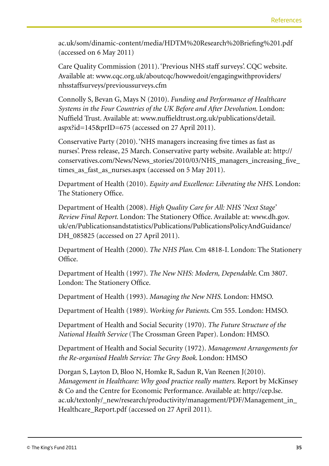ac.uk/som/dinamic-content/media/HDTM%20Research%20Briefing%201.pdf (accessed on 6 May 2011)

Care Quality Commission (2011). 'Previous NHS staff surveys'. CQC website. Available at: www.cqc.org.uk/aboutcqc/howwedoit/engagingwithproviders/ nhsstaffsurveys/previoussurveys.cfm

Connolly S, Bevan G, Mays N (2010). *Funding and Performance of Healthcare Systems in the Four Countries of the UK Before and After Devolution*. London: Nuffield Trust. Available at: www.nuffieldtrust.org.uk/publications/detail. aspx?id=145&prID=675 (accessed on 27 April 2011).

Conservative Party (2010). 'NHS managers increasing five times as fast as nurses'. Press release, 25 March. Conservative party website. Available at: http:// conservatives.com/News/News\_stories/2010/03/NHS\_managers\_increasing\_five\_ times\_as\_fast\_as\_nurses.aspx (accessed on 5 May 2011).

Department of Health (2010). *Equity and Excellence: Liberating the NHS*. London: The Stationery Office.

Department of Health (2008). *High Quality Care for All: NHS 'Next Stage' Review Final Report*. London: The Stationery Office. Available at: www.dh.gov. uk/en/Publicationsandstatistics/Publications/PublicationsPolicyAndGuidance/ DH 085825 (accessed on 27 April 2011).

Department of Health (2000). *The NHS Plan*. Cm 4818-I. London: The Stationery Office.

Department of Health (1997). *The New NHS: Modern, Dependable*. Cm 3807. London: The Stationery Office.

Department of Health (1993). *Managing the New NHS*. London: HMSO.

Department of Health (1989). *Working for Patients*. Cm 555. London: HMSO.

Department of Health and Social Security (1970). *The Future Structure of the National Health Service* (The Crossman Green Paper). London: HMSO.

Department of Health and Social Security (1972). *Management Arrangements for the Re-organised Health Service: The Grey Book*. London: HMSO

Dorgan S, Layton D, Bloo N, Homke R, Sadun R, Van Reenen J(2010). *Management in Healthcare: Why good practice really matters*. Report by McKinsey & Co and the Centre for Economic Performance. Available at: http://cep.lse. ac.uk/textonly/\_new/research/productivity/management/PDF/Management\_in\_ Healthcare\_Report.pdf (accessed on 27 April 2011).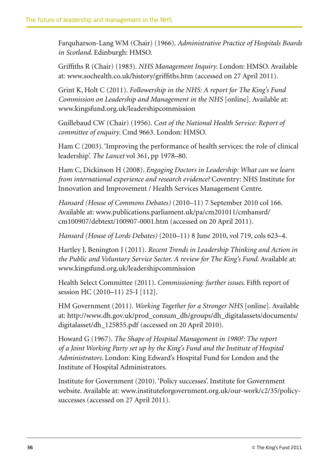Farquharson-Lang WM (Chair) (1966). *Administrative Practice of Hospitals Boards in Scotland*. Edinburgh: HMSO.

Griffiths R (Chair) (1983). *NHS Management Inquiry*. London: HMSO. Available at: www.sochealth.co.uk/history/griffiths.htm (accessed on 27 April 2011).

Grint K, Holt C (2011). *Followership in the NHS: A report for The King's Fund Commission on Leadership and Management in the NHS* [online]. Available at: www.kingsfund.org.uk/leadershipcommission

Guillebaud CW (Chair) (1956). *Cost of the National Health Service: Report of committee of enquiry*. Cmd 9663. London: HMSO.

Ham C (2003). 'Improving the performance of health services: the role of clinical leadership'. *The Lancet* vol 361, pp 1978–80.

Ham C, Dickinson H (2008). *Engaging Doctors in Leadership: What can we learn from international experience and research evidence?* Coventry: NHS Institute for Innovation and Improvement / Health Services Management Centre.

*Hansard (House of Commons Debates)* (2010–11) 7 September 2010 col 166. Available at: www.publications.parliament.uk/pa/cm201011/cmhansrd/ cm100907/debtext/100907-0001.htm (accessed on 20 April 2011).

*Hansard (House of Lords Debates)* (2010–11) 8 June 2010, vol 719, cols 623–4.

Hartley J, Benington J (2011). *Recent Trends in Leadership Thinking and Action in the Public and Voluntary Service Sector. A review for The King's Fund*. Available at: www.kingsfund.org.uk/leadershipcommission

Health Select Committee (2011). *Commissioning: further issues*. Fifth report of session HC (2010–11) 25-I [112].

HM Government (2011). *Working Together for a Stronger NHS* [online]. Available at: http://www.dh.gov.uk/prod\_consum\_dh/groups/dh\_digitalassets/documents/ digitalasset/dh\_125855.pdf (accessed on 20 April 2010).

Howard G (1967). *The Shape of Hospital Management in 1980?: The report of a Joint Working Party set up by the King's Fund and the Institute of Hospital Administrators*. London: King Edward's Hospital Fund for London and the Institute of Hospital Administrators.

Institute for Government (2010). 'Policy successes'. Institute for Government website. Available at: www.instituteforgovernment.org.uk/our-work/c2/35/policysuccesses (accessed on 27 April 2011).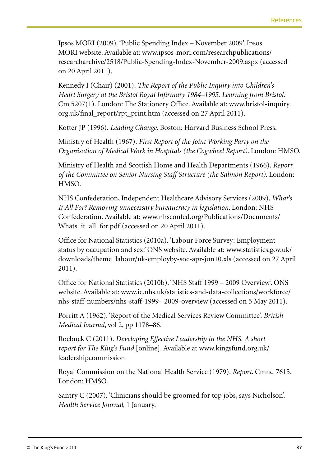Ipsos MORI (2009). 'Public Spending Index – November 2009'. Ipsos MORI website. Available at: www.ipsos-mori.com/researchpublications/ researcharchive/2518/Public-Spending-Index-November-2009.aspx (accessed on 20 April 2011).

Kennedy I (Chair) (2001). *The Report of the Public Inquiry into Children's Heart Surgery at the Bristol Royal Infirmary 1984–1995. Learning from Bristol*. Cm 5207(1). London: The Stationery Office. Available at: www.bristol-inquiry. org.uk/final\_report/rpt\_print.htm (accessed on 27 April 2011).

Kotter JP (1996). *Leading Change*. Boston: Harvard Business School Press.

Ministry of Health (1967). *First Report of the Joint Working Party on the Organisation of Medical Work in Hospitals (the Cogwheel Report)*. London: HMSO.

Ministry of Health and Scottish Home and Health Departments (1966). *Report of the Committee on Senior Nursing Staff Structure (the Salmon Report)*. London: HMSO.

NHS Confederation, Independent Healthcare Advisory Services (2009). *What's It All For? Removing unnecessary bureaucracy in legislation*. London: NHS Confederation. Available at: www.nhsconfed.org/Publications/Documents/ Whats\_it\_all\_for.pdf (accessed on 20 April 2011).

Office for National Statistics (2010a). 'Labour Force Survey: Employment status by occupation and sex.' ONS website. Available at: www.statistics.gov.uk/ downloads/theme\_labour/uk-employby-soc-apr-jun10.xls (accessed on 27 April 2011).

Office for National Statistics (2010b). 'NHS Staff 1999 – 2009 Overview'. ONS website. Available at: www.ic.nhs.uk/statistics-and-data-collections/workforce/ nhs-staff-numbers/nhs-staff-1999--2009-overview (accessed on 5 May 2011).

Porritt A (1962). 'Report of the Medical Services Review Committee'. *British Medical Journal*, vol 2, pp 1178–86.

Roebuck C (2011). *Developing Effective Leadership in the NHS. A short report for The King's Fund* [online]. Available at www.kingsfund.org.uk/ leadershipcommission

Royal Commission on the National Health Service (1979). *Report*. Cmnd 7615. London: HMSO.

Santry C (2007). 'Clinicians should be groomed for top jobs, says Nicholson'. *Health Service Journal*, 1 January.